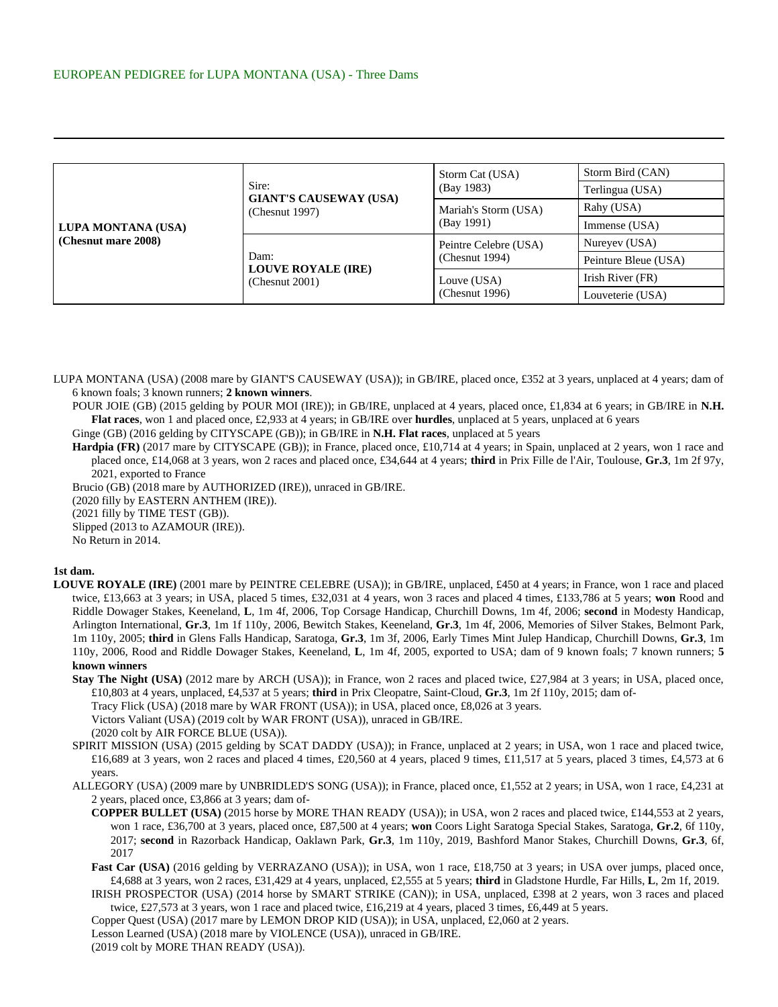| LUPA MONTANA (USA)<br>(Chesnut mare 2008) | Sire:<br><b>GIANT'S CAUSEWAY (USA)</b><br>(Chesnut 1997) | Storm Cat (USA)<br>(Bay 1983)              | Storm Bird (CAN)     |
|-------------------------------------------|----------------------------------------------------------|--------------------------------------------|----------------------|
|                                           |                                                          |                                            | Terlingua (USA)      |
|                                           |                                                          | Mariah's Storm (USA)<br>(Bay 1991)         | Rahy (USA)           |
|                                           |                                                          |                                            | Immense (USA)        |
|                                           | Dam:<br><b>LOUVE ROYALE (IRE)</b><br>(Chemut 2001)       | Peintre Celebre (USA)<br>(Chesnut $1994$ ) | Nureyev (USA)        |
|                                           |                                                          |                                            | Peinture Bleue (USA) |
|                                           |                                                          | Louve (USA)<br>(Chesnut 1996)              | Irish River (FR)     |
|                                           |                                                          |                                            | Louveterie (USA)     |

LUPA MONTANA (USA) (2008 mare by GIANT'S CAUSEWAY (USA)); in GB/IRE, placed once, £352 at 3 years, unplaced at 4 years; dam of 6 known foals; 3 known runners; **2 known winners**.

POUR JOIE (GB) (2015 gelding by POUR MOI (IRE)); in GB/IRE, unplaced at 4 years, placed once, £1,834 at 6 years; in GB/IRE in **N.H. Flat races**, won 1 and placed once, £2,933 at 4 years; in GB/IRE over **hurdles**, unplaced at 5 years, unplaced at 6 years

Ginge (GB) (2016 gelding by CITYSCAPE (GB)); in GB/IRE in **N.H. Flat races**, unplaced at 5 years

Hardpia (FR) (2017 mare by CITYSCAPE (GB)); in France, placed once, £10,714 at 4 years; in Spain, unplaced at 2 years, won 1 race and placed once, £14,068 at 3 years, won 2 races and placed once, £34,644 at 4 years; **third** in Prix Fille de l'Air, Toulouse, **Gr.3**, 1m 2f 97y, 2021, exported to France

Brucio (GB) (2018 mare by AUTHORIZED (IRE)), unraced in GB/IRE. (2020 filly by EASTERN ANTHEM (IRE)). (2021 filly by TIME TEST (GB)). Slipped (2013 to AZAMOUR (IRE)). No Return in 2014.

## **1st dam.**

- **LOUVE ROYALE (IRE)** (2001 mare by PEINTRE CELEBRE (USA)); in GB/IRE, unplaced, £450 at 4 years; in France, won 1 race and placed twice, £13,663 at 3 years; in USA, placed 5 times, £32,031 at 4 years, won 3 races and placed 4 times, £133,786 at 5 years; **won** Rood and Riddle Dowager Stakes, Keeneland, **L**, 1m 4f, 2006, Top Corsage Handicap, Churchill Downs, 1m 4f, 2006; **second** in Modesty Handicap, Arlington International, **Gr.3**, 1m 1f 110y, 2006, Bewitch Stakes, Keeneland, **Gr.3**, 1m 4f, 2006, Memories of Silver Stakes, Belmont Park, 1m 110y, 2005; **third** in Glens Falls Handicap, Saratoga, **Gr.3**, 1m 3f, 2006, Early Times Mint Julep Handicap, Churchill Downs, **Gr.3**, 1m 110y, 2006, Rood and Riddle Dowager Stakes, Keeneland, **L**, 1m 4f, 2005, exported to USA; dam of 9 known foals; 7 known runners; **5 known winners**
	- **Stay The Night (USA)** (2012 mare by ARCH (USA)); in France, won 2 races and placed twice, £27,984 at 3 years; in USA, placed once, £10,803 at 4 years, unplaced, £4,537 at 5 years; **third** in Prix Cleopatre, Saint-Cloud, **Gr.3**, 1m 2f 110y, 2015; dam of-
		- Tracy Flick (USA) (2018 mare by WAR FRONT (USA)); in USA, placed once, £8,026 at 3 years.

Victors Valiant (USA) (2019 colt by WAR FRONT (USA)), unraced in GB/IRE.

(2020 colt by AIR FORCE BLUE (USA)).

- SPIRIT MISSION (USA) (2015 gelding by SCAT DADDY (USA)); in France, unplaced at 2 years; in USA, won 1 race and placed twice,  $\text{\pounds}16,689$  at 3 years, won 2 races and placed 4 times,  $\text{\pounds}20,560$  at 4 years, placed 9 times,  $\text{\pounds}11,517$  at 5 years, placed 3 times,  $\text{\pounds}44,573$  at 6 years.
- ALLEGORY (USA) (2009 mare by UNBRIDLED'S SONG (USA)); in France, placed once, £1,552 at 2 years; in USA, won 1 race, £4,231 at 2 years, placed once, £3,866 at 3 years; dam of-
	- **COPPER BULLET (USA)** (2015 horse by MORE THAN READY (USA)); in USA, won 2 races and placed twice, £144,553 at 2 years, won 1 race, £36,700 at 3 years, placed once, £87,500 at 4 years; **won** Coors Light Saratoga Special Stakes, Saratoga, **Gr.2**, 6f 110y, 2017; **second** in Razorback Handicap, Oaklawn Park, **Gr.3**, 1m 110y, 2019, Bashford Manor Stakes, Churchill Downs, **Gr.3**, 6f, 2017
	- Fast Car (USA) (2016 gelding by VERRAZANO (USA)); in USA, won 1 race, £18,750 at 3 years; in USA over jumps, placed once, £4,688 at 3 years, won 2 races, £31,429 at 4 years, unplaced, £2,555 at 5 years; **third** in Gladstone Hurdle, Far Hills, **L**, 2m 1f, 2019.
	- IRISH PROSPECTOR (USA) (2014 horse by SMART STRIKE (CAN)); in USA, unplaced, £398 at 2 years, won 3 races and placed twice, £27,573 at 3 years, won 1 race and placed twice, £16,219 at 4 years, placed 3 times, £6,449 at 5 years.
	- Copper Quest (USA) (2017 mare by LEMON DROP KID (USA)); in USA, unplaced, £2,060 at 2 years.
	- Lesson Learned (USA) (2018 mare by VIOLENCE (USA)), unraced in GB/IRE.

(2019 colt by MORE THAN READY (USA)).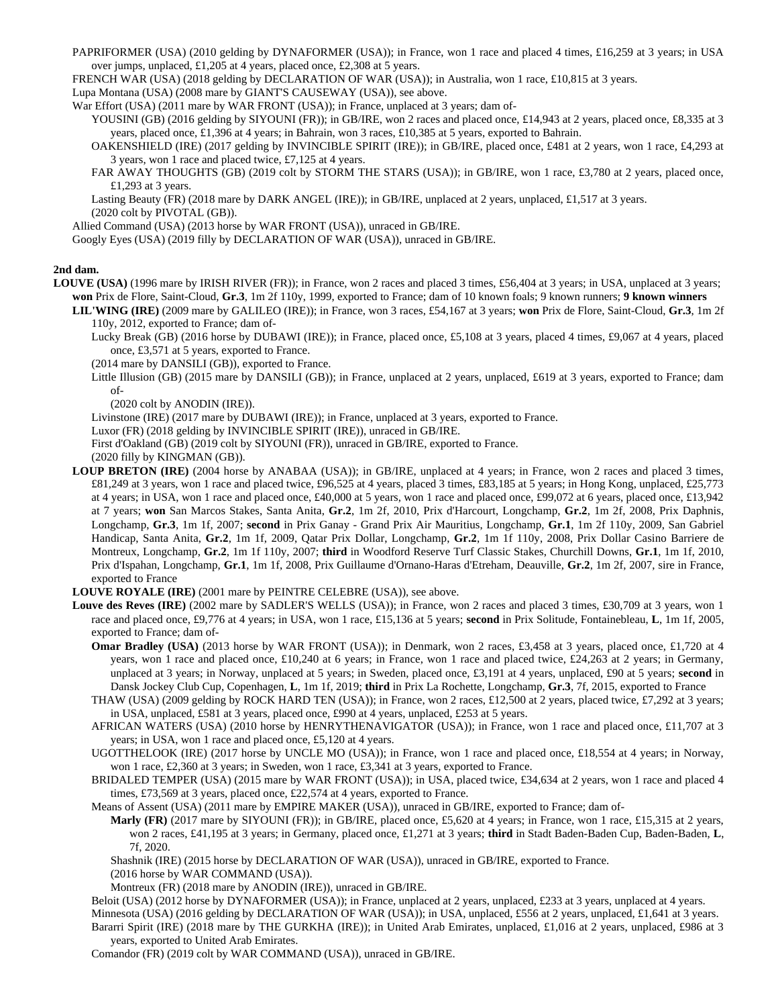- PAPRIFORMER (USA) (2010 gelding by DYNAFORMER (USA)); in France, won 1 race and placed 4 times, £16,259 at 3 years; in USA over jumps, unplaced, £1,205 at 4 years, placed once, £2,308 at 5 years.
- FRENCH WAR (USA) (2018 gelding by DECLARATION OF WAR (USA)); in Australia, won 1 race, £10,815 at 3 years.
- Lupa Montana (USA) (2008 mare by GIANT'S CAUSEWAY (USA)), see above.

War Effort (USA) (2011 mare by WAR FRONT (USA)); in France, unplaced at 3 years; dam of-

- YOUSINI (GB) (2016 gelding by SIYOUNI (FR)); in GB/IRE, won 2 races and placed once, £14,943 at 2 years, placed once, £8,335 at 3 years, placed once, £1,396 at 4 years; in Bahrain, won 3 races, £10,385 at 5 years, exported to Bahrain.
	- OAKENSHIELD (IRE) (2017 gelding by INVINCIBLE SPIRIT (IRE)); in GB/IRE, placed once, £481 at 2 years, won 1 race, £4,293 at 3 years, won 1 race and placed twice, £7,125 at 4 years.
	- FAR AWAY THOUGHTS (GB) (2019 colt by STORM THE STARS (USA)); in GB/IRE, won 1 race, £3,780 at 2 years, placed once, £1,293 at 3 years.

Lasting Beauty (FR) (2018 mare by DARK ANGEL (IRE)); in GB/IRE, unplaced at 2 years, unplaced, £1,517 at 3 years. (2020 colt by PIVOTAL (GB)).

Allied Command (USA) (2013 horse by WAR FRONT (USA)), unraced in GB/IRE.

Googly Eyes (USA) (2019 filly by DECLARATION OF WAR (USA)), unraced in GB/IRE.

## **2nd dam.**

**LOUVE (USA)** (1996 mare by IRISH RIVER (FR)); in France, won 2 races and placed 3 times, £56,404 at 3 years; in USA, unplaced at 3 years; **won** Prix de Flore, Saint-Cloud, **Gr.3**, 1m 2f 110y, 1999, exported to France; dam of 10 known foals; 9 known runners; **9 known winners**

**LIL'WING (IRE)** (2009 mare by GALILEO (IRE)); in France, won 3 races, £54,167 at 3 years; **won** Prix de Flore, Saint-Cloud, **Gr.3**, 1m 2f 110y, 2012, exported to France; dam of-

- Lucky Break (GB) (2016 horse by DUBAWI (IRE)); in France, placed once, £5,108 at 3 years, placed 4 times, £9,067 at 4 years, placed once, £3,571 at 5 years, exported to France.
- (2014 mare by DANSILI (GB)), exported to France.
- Little Illusion (GB) (2015 mare by DANSILI (GB)); in France, unplaced at 2 years, unplaced, £619 at 3 years, exported to France; dam of-
	- (2020 colt by ANODIN (IRE)).

Livinstone (IRE) (2017 mare by DUBAWI (IRE)); in France, unplaced at 3 years, exported to France.

- Luxor (FR) (2018 gelding by INVINCIBLE SPIRIT (IRE)), unraced in GB/IRE.
- First d'Oakland (GB) (2019 colt by SIYOUNI (FR)), unraced in GB/IRE, exported to France.

(2020 filly by KINGMAN (GB)).

**LOUP BRETON (IRE)** (2004 horse by ANABAA (USA)); in GB/IRE, unplaced at 4 years; in France, won 2 races and placed 3 times, £81,249 at 3 years, won 1 race and placed twice, £96,525 at 4 years, placed 3 times, £83,185 at 5 years; in Hong Kong, unplaced, £25,773 at 4 years; in USA, won 1 race and placed once, £40,000 at 5 years, won 1 race and placed once, £99,072 at 6 years, placed once, £13,942 at 7 years; **won** San Marcos Stakes, Santa Anita, **Gr.2**, 1m 2f, 2010, Prix d'Harcourt, Longchamp, **Gr.2**, 1m 2f, 2008, Prix Daphnis, Longchamp, **Gr.3**, 1m 1f, 2007; **second** in Prix Ganay - Grand Prix Air Mauritius, Longchamp, **Gr.1**, 1m 2f 110y, 2009, San Gabriel Handicap, Santa Anita, **Gr.2**, 1m 1f, 2009, Qatar Prix Dollar, Longchamp, **Gr.2**, 1m 1f 110y, 2008, Prix Dollar Casino Barriere de Montreux, Longchamp, **Gr.2**, 1m 1f 110y, 2007; **third** in Woodford Reserve Turf Classic Stakes, Churchill Downs, **Gr.1**, 1m 1f, 2010, Prix d'Ispahan, Longchamp, **Gr.1**, 1m 1f, 2008, Prix Guillaume d'Ornano-Haras d'Etreham, Deauville, **Gr.2**, 1m 2f, 2007, sire in France, exported to France

**LOUVE ROYALE (IRE)** (2001 mare by PEINTRE CELEBRE (USA)), see above.

- **Louve des Reves (IRE)** (2002 mare by SADLER'S WELLS (USA)); in France, won 2 races and placed 3 times, £30,709 at 3 years, won 1 race and placed once, £9,776 at 4 years; in USA, won 1 race, £15,136 at 5 years; **second** in Prix Solitude, Fontainebleau, **L**, 1m 1f, 2005, exported to France; dam of-
	- **Omar Bradley (USA)** (2013 horse by WAR FRONT (USA)); in Denmark, won 2 races, £3,458 at 3 years, placed once, £1,720 at 4 years, won 1 race and placed once, £10,240 at 6 years; in France, won 1 race and placed twice, £24,263 at 2 years; in Germany, unplaced at 3 years; in Norway, unplaced at 5 years; in Sweden, placed once, £3,191 at 4 years, unplaced, £90 at 5 years; **second** in Dansk Jockey Club Cup, Copenhagen, **L**, 1m 1f, 2019; **third** in Prix La Rochette, Longchamp, **Gr.3**, 7f, 2015, exported to France
	- THAW (USA) (2009 gelding by ROCK HARD TEN (USA)); in France, won 2 races, £12,500 at 2 years, placed twice, £7,292 at 3 years; in USA, unplaced, £581 at 3 years, placed once, £990 at 4 years, unplaced, £253 at 5 years.
	- AFRICAN WATERS (USA) (2010 horse by HENRYTHENAVIGATOR (USA)); in France, won 1 race and placed once, £11,707 at 3 years; in USA, won 1 race and placed once, £5,120 at 4 years.
	- UGOTTHELOOK (IRE) (2017 horse by UNCLE MO (USA)); in France, won 1 race and placed once, £18,554 at 4 years; in Norway, won 1 race, £2,360 at 3 years; in Sweden, won 1 race, £3,341 at 3 years, exported to France.
	- BRIDALED TEMPER (USA) (2015 mare by WAR FRONT (USA)); in USA, placed twice, £34,634 at 2 years, won 1 race and placed 4 times, £73,569 at 3 years, placed once, £22,574 at 4 years, exported to France.
	- Means of Assent (USA) (2011 mare by EMPIRE MAKER (USA)), unraced in GB/IRE, exported to France; dam of-
	- **Marly (FR)** (2017 mare by SIYOUNI (FR)); in GB/IRE, placed once, £5,620 at 4 years; in France, won 1 race, £15,315 at 2 years, won 2 races, £41,195 at 3 years; in Germany, placed once, £1,271 at 3 years; **third** in Stadt Baden-Baden Cup, Baden-Baden, **L**, 7f, 2020.

Shashnik (IRE) (2015 horse by DECLARATION OF WAR (USA)), unraced in GB/IRE, exported to France.

(2016 horse by WAR COMMAND (USA)).

Montreux (FR) (2018 mare by ANODIN (IRE)), unraced in GB/IRE.

Beloit (USA) (2012 horse by DYNAFORMER (USA)); in France, unplaced at 2 years, unplaced, £233 at 3 years, unplaced at 4 years. Minnesota (USA) (2016 gelding by DECLARATION OF WAR (USA)); in USA, unplaced, £556 at 2 years, unplaced, £1,641 at 3 years. Bararri Spirit (IRE) (2018 mare by THE GURKHA (IRE)); in United Arab Emirates, unplaced, £1,016 at 2 years, unplaced, £986 at 3 years, exported to United Arab Emirates.

Comandor (FR) (2019 colt by WAR COMMAND (USA)), unraced in GB/IRE.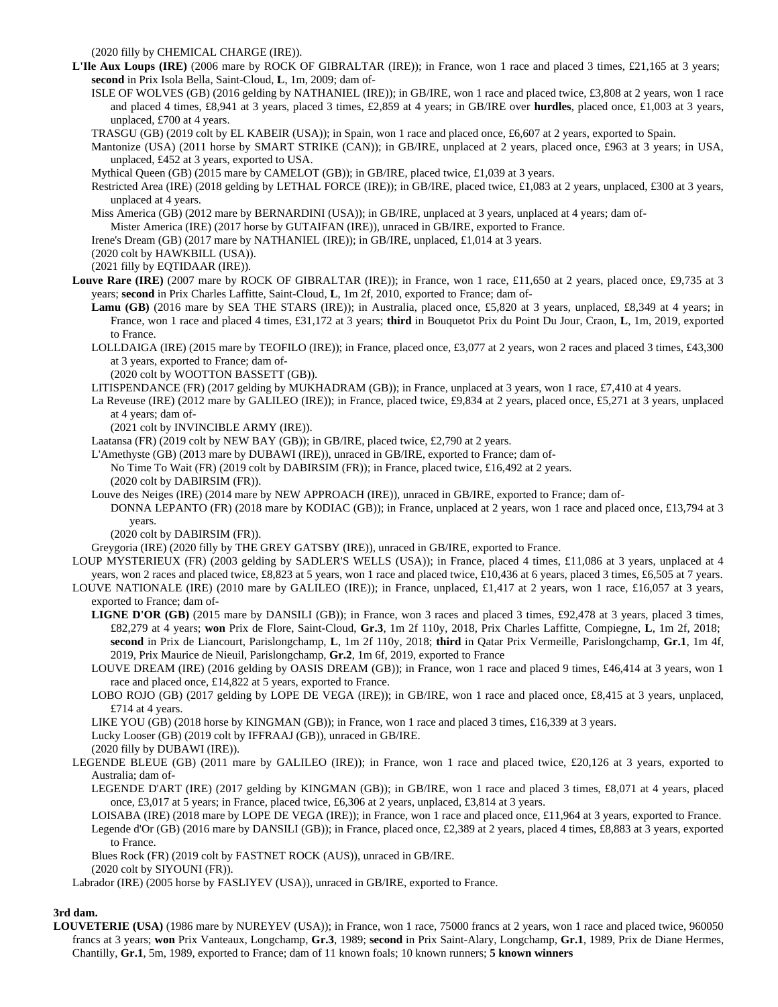(2020 filly by CHEMICAL CHARGE (IRE)).

- **L'Ile Aux Loups (IRE)** (2006 mare by ROCK OF GIBRALTAR (IRE)); in France, won 1 race and placed 3 times, £21,165 at 3 years; **second** in Prix Isola Bella, Saint-Cloud, **L**, 1m, 2009; dam of-
	- ISLE OF WOLVES (GB) (2016 gelding by NATHANIEL (IRE)); in GB/IRE, won 1 race and placed twice, £3,808 at 2 years, won 1 race and placed 4 times, £8,941 at 3 years, placed 3 times, £2,859 at 4 years; in GB/IRE over **hurdles**, placed once, £1,003 at 3 years, unplaced, £700 at 4 years.
	- TRASGU (GB) (2019 colt by EL KABEIR (USA)); in Spain, won 1 race and placed once, £6,607 at 2 years, exported to Spain.
	- Mantonize (USA) (2011 horse by SMART STRIKE (CAN)); in GB/IRE, unplaced at 2 years, placed once, £963 at 3 years; in USA, unplaced, £452 at 3 years, exported to USA.
	- Mythical Queen (GB) (2015 mare by CAMELOT (GB)); in GB/IRE, placed twice, £1,039 at 3 years.
	- Restricted Area (IRE) (2018 gelding by LETHAL FORCE (IRE)); in GB/IRE, placed twice, £1,083 at 2 years, unplaced, £300 at 3 years, unplaced at 4 years.
	- Miss America (GB) (2012 mare by BERNARDINI (USA)); in GB/IRE, unplaced at 3 years, unplaced at 4 years; dam of-
	- Mister America (IRE) (2017 horse by GUTAIFAN (IRE)), unraced in GB/IRE, exported to France.
	- Irene's Dream (GB) (2017 mare by NATHANIEL (IRE)); in GB/IRE, unplaced, £1,014 at 3 years.
	- (2020 colt by HAWKBILL (USA)).
	- (2021 filly by EQTIDAAR (IRE)).
- Louve Rare (IRE) (2007 mare by ROCK OF GIBRALTAR (IRE)); in France, won 1 race, £11,650 at 2 years, placed once, £9,735 at 3 years; **second** in Prix Charles Laffitte, Saint-Cloud, **L**, 1m 2f, 2010, exported to France; dam of-
	- Lamu (GB) (2016 mare by SEA THE STARS (IRE)); in Australia, placed once, £5,820 at 3 years, unplaced, £8,349 at 4 years; in France, won 1 race and placed 4 times, £31,172 at 3 years; **third** in Bouquetot Prix du Point Du Jour, Craon, **L**, 1m, 2019, exported to France.
	- LOLLDAIGA (IRE) (2015 mare by TEOFILO (IRE)); in France, placed once, £3,077 at 2 years, won 2 races and placed 3 times, £43,300 at 3 years, exported to France; dam of-
		- (2020 colt by WOOTTON BASSETT (GB)).
	- LITISPENDANCE (FR) (2017 gelding by MUKHADRAM (GB)); in France, unplaced at 3 years, won 1 race, £7,410 at 4 years.
	- La Reveuse (IRE) (2012 mare by GALILEO (IRE)); in France, placed twice, £9,834 at 2 years, placed once, £5,271 at 3 years, unplaced at 4 years; dam of-
		- (2021 colt by INVINCIBLE ARMY (IRE)).
	- Laatansa (FR) (2019 colt by NEW BAY (GB)); in GB/IRE, placed twice, £2,790 at 2 years.
	- L'Amethyste (GB) (2013 mare by DUBAWI (IRE)), unraced in GB/IRE, exported to France; dam of-
		- No Time To Wait (FR) (2019 colt by DABIRSIM (FR)); in France, placed twice, £16,492 at 2 years. (2020 colt by DABIRSIM (FR)).
	- Louve des Neiges (IRE) (2014 mare by NEW APPROACH (IRE)), unraced in GB/IRE, exported to France; dam of-
	- DONNA LEPANTO (FR) (2018 mare by KODIAC (GB)); in France, unplaced at 2 years, won 1 race and placed once, £13,794 at 3 years.
		- (2020 colt by DABIRSIM (FR)).
	- Greygoria (IRE) (2020 filly by THE GREY GATSBY (IRE)), unraced in GB/IRE, exported to France.
- LOUP MYSTERIEUX (FR) (2003 gelding by SADLER'S WELLS (USA)); in France, placed 4 times, £11,086 at 3 years, unplaced at 4 years, won 2 races and placed twice, £8,823 at 5 years, won 1 race and placed twice, £10,436 at 6 years, placed 3 times, £6,505 at 7 years.
- LOUVE NATIONALE (IRE) (2010 mare by GALILEO (IRE)); in France, unplaced, £1,417 at 2 years, won 1 race, £16,057 at 3 years, exported to France; dam of-
	- **LIGNE D'OR (GB)** (2015 mare by DANSILI (GB)); in France, won 3 races and placed 3 times, £92,478 at 3 years, placed 3 times, £82,279 at 4 years; **won** Prix de Flore, Saint-Cloud, **Gr.3**, 1m 2f 110y, 2018, Prix Charles Laffitte, Compiegne, **L**, 1m 2f, 2018; **second** in Prix de Liancourt, Parislongchamp, **L**, 1m 2f 110y, 2018; **third** in Qatar Prix Vermeille, Parislongchamp, **Gr.1**, 1m 4f, 2019, Prix Maurice de Nieuil, Parislongchamp, **Gr.2**, 1m 6f, 2019, exported to France
	- LOUVE DREAM (IRE) (2016 gelding by OASIS DREAM (GB)); in France, won 1 race and placed 9 times, £46,414 at 3 years, won 1 race and placed once, £14,822 at 5 years, exported to France.
	- LOBO ROJO (GB) (2017 gelding by LOPE DE VEGA (IRE)); in GB/IRE, won 1 race and placed once, £8,415 at 3 years, unplaced, £714 at 4 years.
	- LIKE YOU (GB) (2018 horse by KINGMAN (GB)); in France, won 1 race and placed 3 times, £16,339 at 3 years.
	- Lucky Looser (GB) (2019 colt by IFFRAAJ (GB)), unraced in GB/IRE.
	- (2020 filly by DUBAWI (IRE)).
- LEGENDE BLEUE (GB) (2011 mare by GALILEO (IRE)); in France, won 1 race and placed twice, £20,126 at 3 years, exported to Australia; dam of-
	- LEGENDE D'ART (IRE) (2017 gelding by KINGMAN (GB)); in GB/IRE, won 1 race and placed 3 times, £8,071 at 4 years, placed once, £3,017 at 5 years; in France, placed twice, £6,306 at 2 years, unplaced, £3,814 at 3 years.
	- LOISABA (IRE) (2018 mare by LOPE DE VEGA (IRE)); in France, won 1 race and placed once, £11,964 at 3 years, exported to France. Legende d'Or (GB) (2016 mare by DANSILI (GB)); in France, placed once, £2,389 at 2 years, placed 4 times, £8,883 at 3 years, exported to France.
	- Blues Rock (FR) (2019 colt by FASTNET ROCK (AUS)), unraced in GB/IRE.

(2020 colt by SIYOUNI (FR)).

Labrador (IRE) (2005 horse by FASLIYEV (USA)), unraced in GB/IRE, exported to France.

## **3rd dam.**

**LOUVETERIE (USA)** (1986 mare by NUREYEV (USA)); in France, won 1 race, 75000 francs at 2 years, won 1 race and placed twice, 960050 francs at 3 years; **won** Prix Vanteaux, Longchamp, **Gr.3**, 1989; **second** in Prix Saint-Alary, Longchamp, **Gr.1**, 1989, Prix de Diane Hermes, Chantilly, **Gr.1**, 5m, 1989, exported to France; dam of 11 known foals; 10 known runners; **5 known winners**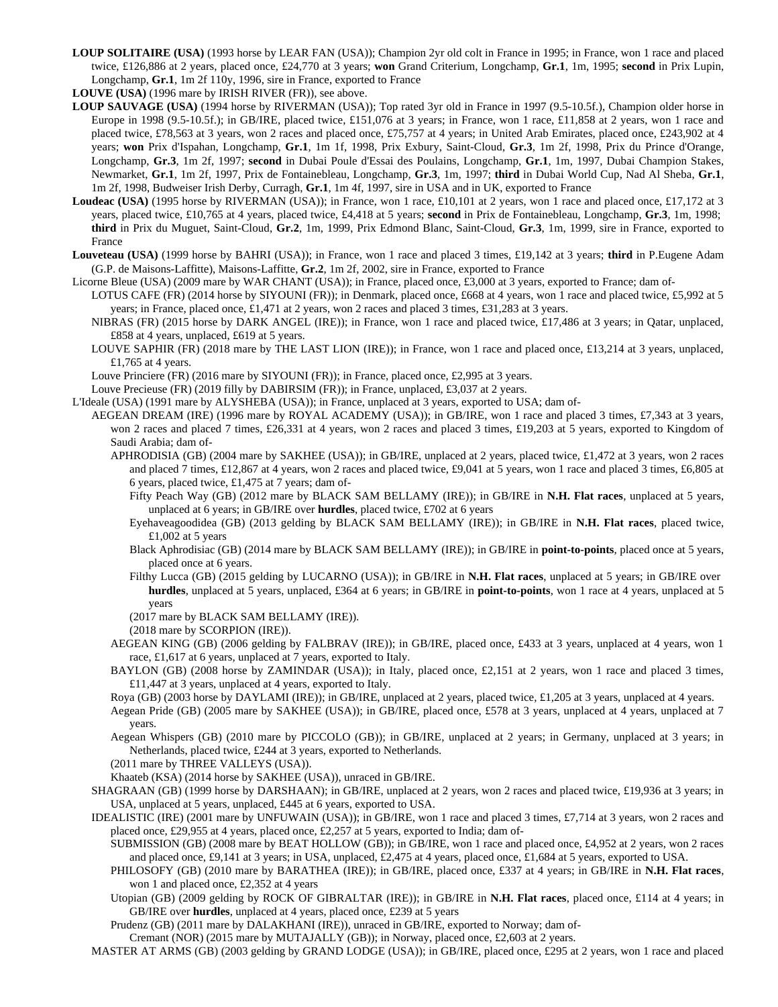- **LOUP SOLITAIRE (USA)** (1993 horse by LEAR FAN (USA)); Champion 2yr old colt in France in 1995; in France, won 1 race and placed twice, £126,886 at 2 years, placed once, £24,770 at 3 years; **won** Grand Criterium, Longchamp, **Gr.1**, 1m, 1995; **second** in Prix Lupin, Longchamp, **Gr.1**, 1m 2f 110y, 1996, sire in France, exported to France
- **LOUVE (USA)** (1996 mare by IRISH RIVER (FR)), see above.
- **LOUP SAUVAGE (USA)** (1994 horse by RIVERMAN (USA)); Top rated 3yr old in France in 1997 (9.5-10.5f.), Champion older horse in Europe in 1998 (9.5-10.5f.); in GB/IRE, placed twice, £151,076 at 3 years; in France, won 1 race, £11,858 at 2 years, won 1 race and placed twice, £78,563 at 3 years, won 2 races and placed once, £75,757 at 4 years; in United Arab Emirates, placed once, £243,902 at 4 years; **won** Prix d'Ispahan, Longchamp, **Gr.1**, 1m 1f, 1998, Prix Exbury, Saint-Cloud, **Gr.3**, 1m 2f, 1998, Prix du Prince d'Orange, Longchamp, **Gr.3**, 1m 2f, 1997; **second** in Dubai Poule d'Essai des Poulains, Longchamp, **Gr.1**, 1m, 1997, Dubai Champion Stakes, Newmarket, **Gr.1**, 1m 2f, 1997, Prix de Fontainebleau, Longchamp, **Gr.3**, 1m, 1997; **third** in Dubai World Cup, Nad Al Sheba, **Gr.1**, 1m 2f, 1998, Budweiser Irish Derby, Curragh, **Gr.1**, 1m 4f, 1997, sire in USA and in UK, exported to France
- **Loudeac (USA)** (1995 horse by RIVERMAN (USA)); in France, won 1 race, £10,101 at 2 years, won 1 race and placed once, £17,172 at 3 years, placed twice, £10,765 at 4 years, placed twice, £4,418 at 5 years; **second** in Prix de Fontainebleau, Longchamp, **Gr.3**, 1m, 1998; **third** in Prix du Muguet, Saint-Cloud, **Gr.2**, 1m, 1999, Prix Edmond Blanc, Saint-Cloud, **Gr.3**, 1m, 1999, sire in France, exported to France
- **Louveteau (USA)** (1999 horse by BAHRI (USA)); in France, won 1 race and placed 3 times, £19,142 at 3 years; **third** in P.Eugene Adam (G.P. de Maisons-Laffitte), Maisons-Laffitte, **Gr.2**, 1m 2f, 2002, sire in France, exported to France

Licorne Bleue (USA) (2009 mare by WAR CHANT (USA)); in France, placed once, £3,000 at 3 years, exported to France; dam of-

- LOTUS CAFE (FR) (2014 horse by SIYOUNI (FR)); in Denmark, placed once, £668 at 4 years, won 1 race and placed twice, £5,992 at 5 years; in France, placed once, £1,471 at 2 years, won 2 races and placed 3 times, £31,283 at 3 years.
	- NIBRAS (FR) (2015 horse by DARK ANGEL (IRE)); in France, won 1 race and placed twice, £17,486 at 3 years; in Qatar, unplaced, £858 at 4 years, unplaced, £619 at 5 years.
	- LOUVE SAPHIR (FR) (2018 mare by THE LAST LION (IRE)); in France, won 1 race and placed once, £13,214 at 3 years, unplaced, £1,765 at 4 years.

Louve Princiere (FR) (2016 mare by SIYOUNI (FR)); in France, placed once, £2,995 at 3 years.

Louve Precieuse (FR) (2019 filly by DABIRSIM (FR)); in France, unplaced, £3,037 at 2 years.

L'Ideale (USA) (1991 mare by ALYSHEBA (USA)); in France, unplaced at 3 years, exported to USA; dam of-

- AEGEAN DREAM (IRE) (1996 mare by ROYAL ACADEMY (USA)); in GB/IRE, won 1 race and placed 3 times, £7,343 at 3 years, won 2 races and placed 7 times, £26,331 at 4 years, won 2 races and placed 3 times, £19,203 at 5 years, exported to Kingdom of Saudi Arabia; dam of-
	- APHRODISIA (GB) (2004 mare by SAKHEE (USA)); in GB/IRE, unplaced at 2 years, placed twice, £1,472 at 3 years, won 2 races and placed 7 times, £12,867 at 4 years, won 2 races and placed twice, £9,041 at 5 years, won 1 race and placed 3 times, £6,805 at 6 years, placed twice, £1,475 at 7 years; dam of-
		- Fifty Peach Way (GB) (2012 mare by BLACK SAM BELLAMY (IRE)); in GB/IRE in **N.H. Flat races**, unplaced at 5 years, unplaced at 6 years; in GB/IRE over **hurdles**, placed twice, £702 at 6 years
		- Eyehaveagoodidea (GB) (2013 gelding by BLACK SAM BELLAMY (IRE)); in GB/IRE in **N.H. Flat races**, placed twice, £1,002 at 5 years
		- Black Aphrodisiac (GB) (2014 mare by BLACK SAM BELLAMY (IRE)); in GB/IRE in **point-to-points**, placed once at 5 years, placed once at 6 years.
		- Filthy Lucca (GB) (2015 gelding by LUCARNO (USA)); in GB/IRE in **N.H. Flat races**, unplaced at 5 years; in GB/IRE over **hurdles**, unplaced at 5 years, unplaced, £364 at 6 years; in GB/IRE in **point-to-points**, won 1 race at 4 years, unplaced at 5 years
		- (2017 mare by BLACK SAM BELLAMY (IRE)).
		- (2018 mare by SCORPION (IRE)).
	- AEGEAN KING (GB) (2006 gelding by FALBRAV (IRE)); in GB/IRE, placed once, £433 at 3 years, unplaced at 4 years, won 1 race, £1,617 at 6 years, unplaced at 7 years, exported to Italy.
	- BAYLON (GB) (2008 horse by ZAMINDAR (USA)); in Italy, placed once, £2,151 at 2 years, won 1 race and placed 3 times, £11,447 at 3 years, unplaced at 4 years, exported to Italy.
	- Roya (GB) (2003 horse by DAYLAMI (IRE)); in GB/IRE, unplaced at 2 years, placed twice, £1,205 at 3 years, unplaced at 4 years.
	- Aegean Pride (GB) (2005 mare by SAKHEE (USA)); in GB/IRE, placed once, £578 at 3 years, unplaced at 4 years, unplaced at 7 years.
	- Aegean Whispers (GB) (2010 mare by PICCOLO (GB)); in GB/IRE, unplaced at 2 years; in Germany, unplaced at 3 years; in Netherlands, placed twice, £244 at 3 years, exported to Netherlands.

(2011 mare by THREE VALLEYS (USA)).

Khaateb (KSA) (2014 horse by SAKHEE (USA)), unraced in GB/IRE.

- SHAGRAAN (GB) (1999 horse by DARSHAAN); in GB/IRE, unplaced at 2 years, won 2 races and placed twice, £19,936 at 3 years; in USA, unplaced at 5 years, unplaced, £445 at 6 years, exported to USA.
- IDEALISTIC (IRE) (2001 mare by UNFUWAIN (USA)); in GB/IRE, won 1 race and placed 3 times, £7,714 at 3 years, won 2 races and placed once, £29,955 at 4 years, placed once, £2,257 at 5 years, exported to India; dam of-

SUBMISSION (GB) (2008 mare by BEAT HOLLOW (GB)); in GB/IRE, won 1 race and placed once, £4,952 at 2 years, won 2 races and placed once, £9,141 at 3 years; in USA, unplaced, £2,475 at 4 years, placed once, £1,684 at 5 years, exported to USA.

- PHILOSOFY (GB) (2010 mare by BARATHEA (IRE)); in GB/IRE, placed once, £337 at 4 years; in GB/IRE in **N.H. Flat races**, won 1 and placed once, £2,352 at 4 years
- Utopian (GB) (2009 gelding by ROCK OF GIBRALTAR (IRE)); in GB/IRE in **N.H. Flat races**, placed once, £114 at 4 years; in GB/IRE over **hurdles**, unplaced at 4 years, placed once, £239 at 5 years

Prudenz (GB) (2011 mare by DALAKHANI (IRE)), unraced in GB/IRE, exported to Norway; dam of-

- Cremant (NOR) (2015 mare by MUTAJALLY (GB)); in Norway, placed once, £2,603 at 2 years.
- MASTER AT ARMS (GB) (2003 gelding by GRAND LODGE (USA)); in GB/IRE, placed once, £295 at 2 years, won 1 race and placed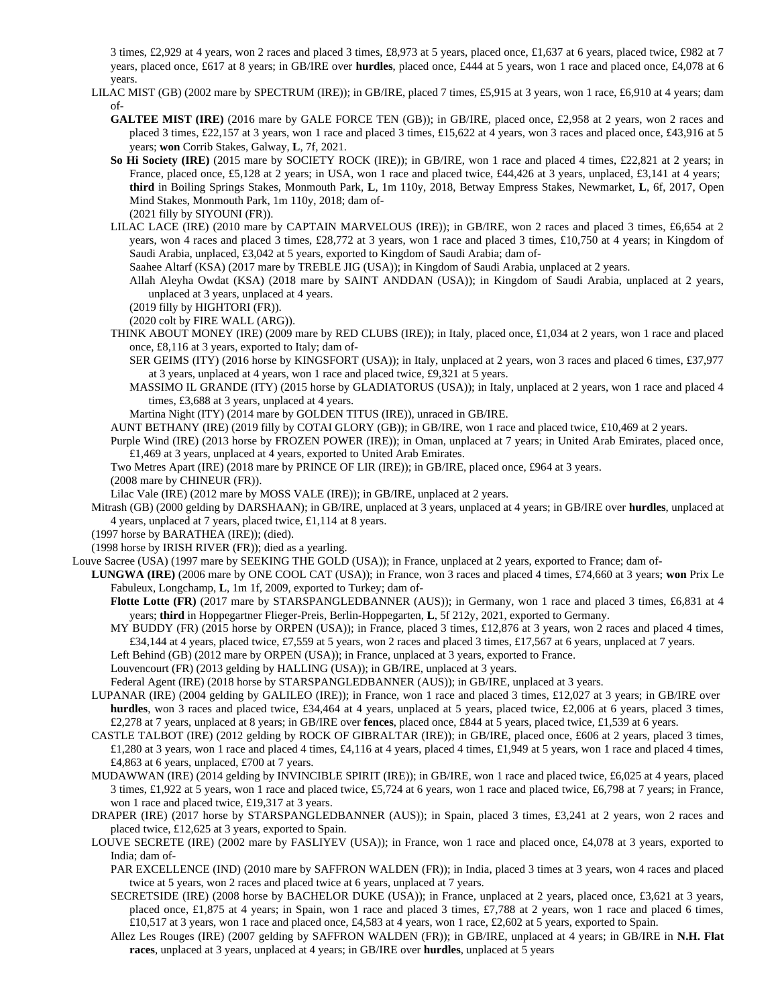3 times, £2,929 at 4 years, won 2 races and placed 3 times, £8,973 at 5 years, placed once, £1,637 at 6 years, placed twice, £982 at 7 years, placed once, £617 at 8 years; in GB/IRE over **hurdles**, placed once, £444 at 5 years, won 1 race and placed once, £4,078 at 6 years.

- LILAC MIST (GB) (2002 mare by SPECTRUM (IRE)); in GB/IRE, placed 7 times, £5,915 at 3 years, won 1 race, £6,910 at 4 years; dam of-
	- **GALTEE MIST (IRE)** (2016 mare by GALE FORCE TEN (GB)); in GB/IRE, placed once, £2,958 at 2 years, won 2 races and placed 3 times, £22,157 at 3 years, won 1 race and placed 3 times, £15,622 at 4 years, won 3 races and placed once, £43,916 at 5 years; **won** Corrib Stakes, Galway, **L**, 7f, 2021.
	- **So Hi Society (IRE)** (2015 mare by SOCIETY ROCK (IRE)); in GB/IRE, won 1 race and placed 4 times, £22,821 at 2 years; in France, placed once, £5,128 at 2 years; in USA, won 1 race and placed twice, £44,426 at 3 years, unplaced, £3,141 at 4 years; **third** in Boiling Springs Stakes, Monmouth Park, **L**, 1m 110y, 2018, Betway Empress Stakes, Newmarket, **L**, 6f, 2017, Open Mind Stakes, Monmouth Park, 1m 110y, 2018; dam of- (2021 filly by SIYOUNI (FR)).
	- LILAC LACE (IRE) (2010 mare by CAPTAIN MARVELOUS (IRE)); in GB/IRE, won 2 races and placed 3 times, £6,654 at 2 years, won 4 races and placed 3 times, £28,772 at 3 years, won 1 race and placed 3 times, £10,750 at 4 years; in Kingdom of Saudi Arabia, unplaced, £3,042 at 5 years, exported to Kingdom of Saudi Arabia; dam of-
		- Saahee Altarf (KSA) (2017 mare by TREBLE JIG (USA)); in Kingdom of Saudi Arabia, unplaced at 2 years.
		- Allah Aleyha Owdat (KSA) (2018 mare by SAINT ANDDAN (USA)); in Kingdom of Saudi Arabia, unplaced at 2 years, unplaced at 3 years, unplaced at 4 years.
		- (2019 filly by HIGHTORI (FR)).
		- (2020 colt by FIRE WALL (ARG)).
	- THINK ABOUT MONEY (IRE) (2009 mare by RED CLUBS (IRE)); in Italy, placed once, £1,034 at 2 years, won 1 race and placed once, £8,116 at 3 years, exported to Italy; dam of-
		- SER GEIMS (ITY) (2016 horse by KINGSFORT (USA)); in Italy, unplaced at 2 years, won 3 races and placed 6 times, £37,977 at 3 years, unplaced at 4 years, won 1 race and placed twice, £9,321 at 5 years.
		- MASSIMO IL GRANDE (ITY) (2015 horse by GLADIATORUS (USA)); in Italy, unplaced at 2 years, won 1 race and placed 4 times, £3,688 at 3 years, unplaced at 4 years.
		- Martina Night (ITY) (2014 mare by GOLDEN TITUS (IRE)), unraced in GB/IRE.
	- AUNT BETHANY (IRE) (2019 filly by COTAI GLORY (GB)); in GB/IRE, won 1 race and placed twice, £10,469 at 2 years.
	- Purple Wind (IRE) (2013 horse by FROZEN POWER (IRE)); in Oman, unplaced at 7 years; in United Arab Emirates, placed once, £1,469 at 3 years, unplaced at 4 years, exported to United Arab Emirates.
	- Two Metres Apart (IRE) (2018 mare by PRINCE OF LIR (IRE)); in GB/IRE, placed once, £964 at 3 years.
	- (2008 mare by CHINEUR (FR)).
	- Lilac Vale (IRE) (2012 mare by MOSS VALE (IRE)); in GB/IRE, unplaced at 2 years.
- Mitrash (GB) (2000 gelding by DARSHAAN); in GB/IRE, unplaced at 3 years, unplaced at 4 years; in GB/IRE over **hurdles**, unplaced at 4 years, unplaced at 7 years, placed twice, £1,114 at 8 years.
- (1997 horse by BARATHEA (IRE)); (died).
- (1998 horse by IRISH RIVER (FR)); died as a yearling.
- Louve Sacree (USA) (1997 mare by SEEKING THE GOLD (USA)); in France, unplaced at 2 years, exported to France; dam of-
	- **LUNGWA (IRE)** (2006 mare by ONE COOL CAT (USA)); in France, won 3 races and placed 4 times, £74,660 at 3 years; **won** Prix Le Fabuleux, Longchamp, **L**, 1m 1f, 2009, exported to Turkey; dam of-
		- **Flotte Lotte (FR)** (2017 mare by STARSPANGLEDBANNER (AUS)); in Germany, won 1 race and placed 3 times, £6,831 at 4 years; **third** in Hoppegartner Flieger-Preis, Berlin-Hoppegarten, **L**, 5f 212y, 2021, exported to Germany.
		- MY BUDDY (FR) (2015 horse by ORPEN (USA)); in France, placed 3 times, £12,876 at 3 years, won 2 races and placed 4 times, £34,144 at 4 years, placed twice, £7,559 at 5 years, won 2 races and placed 3 times, £17,567 at 6 years, unplaced at 7 years.
		- Left Behind (GB) (2012 mare by ORPEN (USA)); in France, unplaced at 3 years, exported to France.
		- Louvencourt (FR) (2013 gelding by HALLING (USA)); in GB/IRE, unplaced at 3 years.
		- Federal Agent (IRE) (2018 horse by STARSPANGLEDBANNER (AUS)); in GB/IRE, unplaced at 3 years.
	- LUPANAR (IRE) (2004 gelding by GALILEO (IRE)); in France, won 1 race and placed 3 times, £12,027 at 3 years; in GB/IRE over **hurdles**, won 3 races and placed twice, £34,464 at 4 years, unplaced at 5 years, placed twice, £2,006 at 6 years, placed 3 times, £2,278 at 7 years, unplaced at 8 years; in GB/IRE over **fences**, placed once, £844 at 5 years, placed twice, £1,539 at 6 years.
	- CASTLE TALBOT (IRE) (2012 gelding by ROCK OF GIBRALTAR (IRE)); in GB/IRE, placed once, £606 at 2 years, placed 3 times, £1,280 at 3 years, won 1 race and placed 4 times, £4,116 at 4 years, placed 4 times, £1,949 at 5 years, won 1 race and placed 4 times, £4,863 at 6 years, unplaced, £700 at 7 years.
	- MUDAWWAN (IRE) (2014 gelding by INVINCIBLE SPIRIT (IRE)); in GB/IRE, won 1 race and placed twice, £6,025 at 4 years, placed 3 times, £1,922 at 5 years, won 1 race and placed twice, £5,724 at 6 years, won 1 race and placed twice, £6,798 at 7 years; in France, won 1 race and placed twice, £19,317 at 3 years.
	- DRAPER (IRE) (2017 horse by STARSPANGLEDBANNER (AUS)); in Spain, placed 3 times, £3,241 at 2 years, won 2 races and placed twice, £12,625 at 3 years, exported to Spain.
	- LOUVE SECRETE (IRE) (2002 mare by FASLIYEV (USA)); in France, won 1 race and placed once, £4,078 at 3 years, exported to India; dam of-
		- PAR EXCELLENCE (IND) (2010 mare by SAFFRON WALDEN (FR)); in India, placed 3 times at 3 years, won 4 races and placed twice at 5 years, won 2 races and placed twice at 6 years, unplaced at 7 years.
		- SECRETSIDE (IRE) (2008 horse by BACHELOR DUKE (USA)); in France, unplaced at 2 years, placed once, £3,621 at 3 years, placed once, £1,875 at 4 years; in Spain, won 1 race and placed 3 times, £7,788 at 2 years, won 1 race and placed 6 times, £10,517 at 3 years, won 1 race and placed once, £4,583 at 4 years, won 1 race, £2,602 at 5 years, exported to Spain.
		- Allez Les Rouges (IRE) (2007 gelding by SAFFRON WALDEN (FR)); in GB/IRE, unplaced at 4 years; in GB/IRE in **N.H. Flat races**, unplaced at 3 years, unplaced at 4 years; in GB/IRE over **hurdles**, unplaced at 5 years